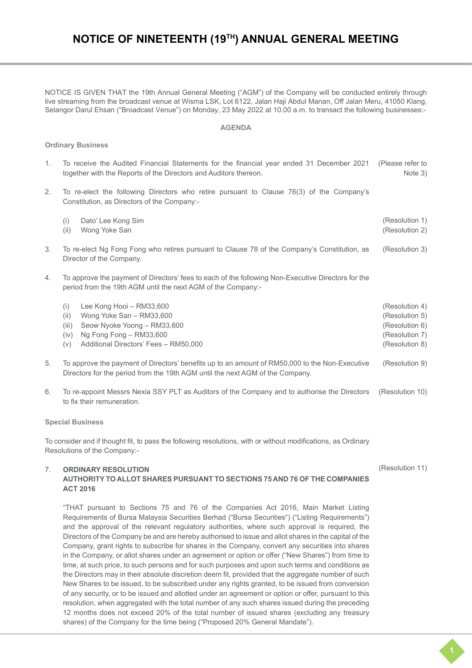# **NOTICE OF NINETEENTH (19TH) ANNUAL GENERAL MEETING**

NOTICE IS GIVEN THAT the 19th Annual General Meeting ("AGM") of the Company will be conducted entirely through live streaming from the broadcast venue at Wisma LSK, Lot 6122, Jalan Haji Abdul Manan, Off Jalan Meru, 41050 Klang, Selangor Darul Ehsan ("Broadcast Venue") on Monday, 23 May 2022 at 10.00 a.m. to transact the following businesses:-

#### **AGENDA**

### **Ordinary Business**

- 1. To receive the Audited Financial Statements for the financial year ended 31 December 2021 together with the Reports of the Directors and Auditors thereon. (Please refer to Note 3)
- 2. To re-elect the following Directors who retire pursuant to Clause 76(3) of the Company's Constitution, as Directors of the Company:-
	- (i) Dato' Lee Kong Sim (ii) Wong Yoke San (Resolution 1) (Resolution 2)
- 3. To re-elect Ng Fong Fong who retires pursuant to Clause 78 of the Company's Constitution, as Director of the Company. (Resolution 3)
- 4. To approve the payment of Directors' fees to each of the following Non-Executive Directors for the period from the 19th AGM until the next AGM of the Company:-

| (i)  | Lee Kong Hooi - RM33,600                    | (Resolution 4) |
|------|---------------------------------------------|----------------|
| (ii) | Wong Yoke San - RM33,600                    | (Resolution 5) |
|      | $(iii)$ Seow Nyoke Yoong – RM33,600         | (Resolution 6) |
|      | $(iv)$ Ng Fong Fong $-$ RM33,600            | (Resolution 7) |
|      | $(v)$ Additional Directors' Fees - RM50,000 | (Resolution 8) |
|      |                                             |                |

- 5. To approve the payment of Directors' benefits up to an amount of RM50,000 to the Non-Executive Directors for the period from the 19th AGM until the next AGM of the Company. (Resolution 9)
- 6. To re-appoint Messrs Nexia SSY PLT as Auditors of the Company and to authorise the Directors to fix their remuneration. (Resolution 10)

#### **Special Business**

To consider and if thought fit, to pass the following resolutions, with or without modifications, as Ordinary Resolutions of the Company:-

#### 7. **ORDINARY RESOLUTION**

## **AUTHORITY TO ALLOT SHARES PURSUANT TO SECTIONS 75 AND 76 OF THE COMPANIES ACT 2016**

"THAT pursuant to Sections 75 and 76 of the Companies Act 2016, Main Market Listing Requirements of Bursa Malaysia Securities Berhad ("Bursa Securities") ("Listing Requirements") and the approval of the relevant regulatory authorities, where such approval is required, the Directors of the Company be and are hereby authorised to issue and allot shares in the capital of the Company, grant rights to subscribe for shares in the Company, convert any securities into shares in the Company, or allot shares under an agreement or option or offer ("New Shares") from time to time, at such price, to such persons and for such purposes and upon such terms and conditions as the Directors may in their absolute discretion deem fit, provided that the aggregate number of such New Shares to be issued, to be subscribed under any rights granted, to be issued from conversion of any security, or to be issued and allotted under an agreement or option or offer, pursuant to this resolution, when aggregated with the total number of any such shares issued during the preceding 12 months does not exceed 20% of the total number of issued shares (excluding any treasury shares) of the Company for the time being ("Proposed 20% General Mandate").

#### (Resolution 11)

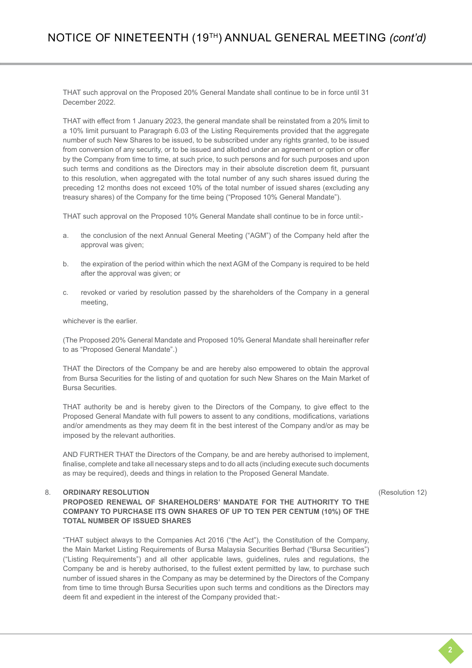THAT such approval on the Proposed 20% General Mandate shall continue to be in force until 31 December 2022.

THAT with effect from 1 January 2023, the general mandate shall be reinstated from a 20% limit to a 10% limit pursuant to Paragraph 6.03 of the Listing Requirements provided that the aggregate number of such New Shares to be issued, to be subscribed under any rights granted, to be issued from conversion of any security, or to be issued and allotted under an agreement or option or offer by the Company from time to time, at such price, to such persons and for such purposes and upon such terms and conditions as the Directors may in their absolute discretion deem fit, pursuant to this resolution, when aggregated with the total number of any such shares issued during the preceding 12 months does not exceed 10% of the total number of issued shares (excluding any treasury shares) of the Company for the time being ("Proposed 10% General Mandate").

THAT such approval on the Proposed 10% General Mandate shall continue to be in force until:-

- a. the conclusion of the next Annual General Meeting ("AGM") of the Company held after the approval was given;
- b. the expiration of the period within which the next AGM of the Company is required to be held after the approval was given; or
- c. revoked or varied by resolution passed by the shareholders of the Company in a general meeting,

whichever is the earlier.

(The Proposed 20% General Mandate and Proposed 10% General Mandate shall hereinafter refer to as "Proposed General Mandate".)

THAT the Directors of the Company be and are hereby also empowered to obtain the approval from Bursa Securities for the listing of and quotation for such New Shares on the Main Market of Bursa Securities.

THAT authority be and is hereby given to the Directors of the Company, to give effect to the Proposed General Mandate with full powers to assent to any conditions, modifications, variations and/or amendments as they may deem fit in the best interest of the Company and/or as may be imposed by the relevant authorities.

AND FURTHER THAT the Directors of the Company, be and are hereby authorised to implement, finalise, complete and take all necessary steps and to do all acts (including execute such documents as may be required), deeds and things in relation to the Proposed General Mandate.

#### 8. **ORDINARY RESOLUTION**

**PROPOSED RENEWAL OF SHAREHOLDERS' MANDATE FOR THE AUTHORITY TO THE COMPANY TO PURCHASE ITS OWN SHARES OF UP TO TEN PER CENTUM (10%) OF THE TOTAL NUMBER OF ISSUED SHARES**

"THAT subject always to the Companies Act 2016 ("the Act"), the Constitution of the Company, the Main Market Listing Requirements of Bursa Malaysia Securities Berhad ("Bursa Securities") ("Listing Requirements") and all other applicable laws, guidelines, rules and regulations, the Company be and is hereby authorised, to the fullest extent permitted by law, to purchase such number of issued shares in the Company as may be determined by the Directors of the Company from time to time through Bursa Securities upon such terms and conditions as the Directors may deem fit and expedient in the interest of the Company provided that:-

(Resolution 12)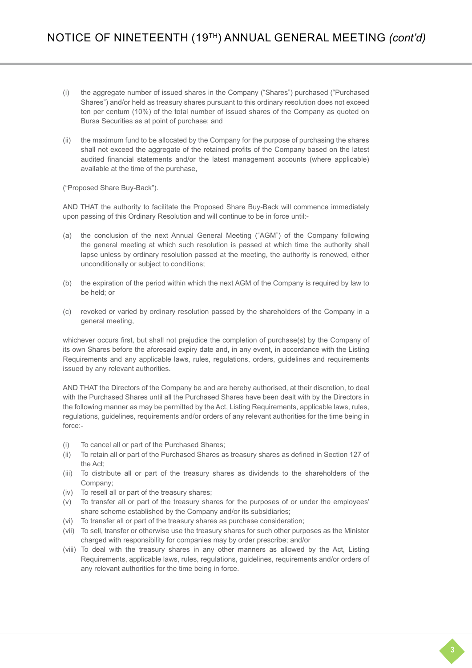- (i) the aggregate number of issued shares in the Company ("Shares") purchased ("Purchased Shares") and/or held as treasury shares pursuant to this ordinary resolution does not exceed ten per centum (10%) of the total number of issued shares of the Company as quoted on Bursa Securities as at point of purchase; and
- (ii) the maximum fund to be allocated by the Company for the purpose of purchasing the shares shall not exceed the aggregate of the retained profits of the Company based on the latest audited financial statements and/or the latest management accounts (where applicable) available at the time of the purchase,

("Proposed Share Buy-Back").

AND THAT the authority to facilitate the Proposed Share Buy-Back will commence immediately upon passing of this Ordinary Resolution and will continue to be in force until:-

- (a) the conclusion of the next Annual General Meeting ("AGM") of the Company following the general meeting at which such resolution is passed at which time the authority shall lapse unless by ordinary resolution passed at the meeting, the authority is renewed, either unconditionally or subject to conditions;
- (b) the expiration of the period within which the next AGM of the Company is required by law to be held; or
- (c) revoked or varied by ordinary resolution passed by the shareholders of the Company in a general meeting,

whichever occurs first, but shall not prejudice the completion of purchase(s) by the Company of its own Shares before the aforesaid expiry date and, in any event, in accordance with the Listing Requirements and any applicable laws, rules, regulations, orders, guidelines and requirements issued by any relevant authorities.

AND THAT the Directors of the Company be and are hereby authorised, at their discretion, to deal with the Purchased Shares until all the Purchased Shares have been dealt with by the Directors in the following manner as may be permitted by the Act, Listing Requirements, applicable laws, rules, regulations, guidelines, requirements and/or orders of any relevant authorities for the time being in force:-

- (i) To cancel all or part of the Purchased Shares;
- (ii) To retain all or part of the Purchased Shares as treasury shares as defined in Section 127 of the Act;
- (iii) To distribute all or part of the treasury shares as dividends to the shareholders of the Company;
- (iv) To resell all or part of the treasury shares;
- (v) To transfer all or part of the treasury shares for the purposes of or under the employees' share scheme established by the Company and/or its subsidiaries;
- (vi) To transfer all or part of the treasury shares as purchase consideration;
- (vii) To sell, transfer or otherwise use the treasury shares for such other purposes as the Minister charged with responsibility for companies may by order prescribe; and/or
- (viii) To deal with the treasury shares in any other manners as allowed by the Act, Listing Requirements, applicable laws, rules, regulations, guidelines, requirements and/or orders of any relevant authorities for the time being in force.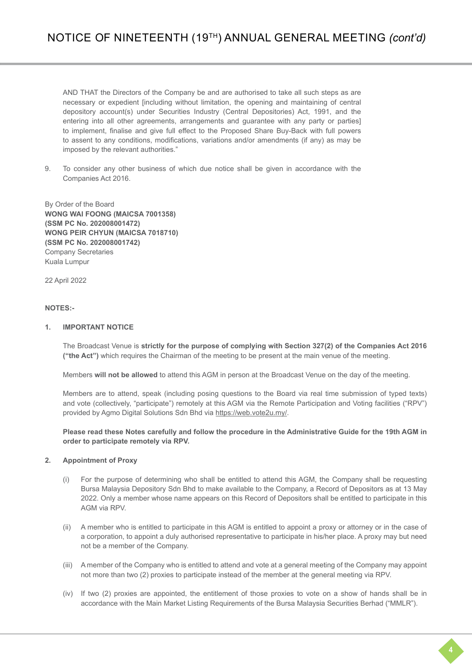AND THAT the Directors of the Company be and are authorised to take all such steps as are necessary or expedient [including without limitation, the opening and maintaining of central depository account(s) under Securities Industry (Central Depositories) Act, 1991, and the entering into all other agreements, arrangements and guarantee with any party or parties] to implement, finalise and give full effect to the Proposed Share Buy-Back with full powers to assent to any conditions, modifications, variations and/or amendments (if any) as may be imposed by the relevant authorities."

9. To consider any other business of which due notice shall be given in accordance with the Companies Act 2016.

By Order of the Board **WONG WAI FOONG (MAICSA 7001358) (SSM PC No. 202008001472) WONG PEIR CHYUN (MAICSA 7018710) (SSM PC No. 202008001742)**  Company Secretaries Kuala Lumpur

22 April 2022

## **NOTES:-**

### **1. IMPORTANT NOTICE**

The Broadcast Venue is **strictly for the purpose of complying with Section 327(2) of the Companies Act 2016 ("the Act")** which requires the Chairman of the meeting to be present at the main venue of the meeting.

Members **will not be allowed** to attend this AGM in person at the Broadcast Venue on the day of the meeting.

Members are to attend, speak (including posing questions to the Board via real time submission of typed texts) and vote (collectively, "participate") remotely at this AGM via the Remote Participation and Voting facilities ("RPV") provided by Agmo Digital Solutions Sdn Bhd via https://web.vote2u.my/.

**Please read these Notes carefully and follow the procedure in the Administrative Guide for the 19th AGM in order to participate remotely via RPV.**

## **2. Appointment of Proxy**

- (i) For the purpose of determining who shall be entitled to attend this AGM, the Company shall be requesting Bursa Malaysia Depository Sdn Bhd to make available to the Company, a Record of Depositors as at 13 May 2022. Only a member whose name appears on this Record of Depositors shall be entitled to participate in this AGM via RPV.
- (ii) A member who is entitled to participate in this AGM is entitled to appoint a proxy or attorney or in the case of a corporation, to appoint a duly authorised representative to participate in his/her place. A proxy may but need not be a member of the Company.
- (iii) A member of the Company who is entitled to attend and vote at a general meeting of the Company may appoint not more than two (2) proxies to participate instead of the member at the general meeting via RPV.
- (iv) If two (2) proxies are appointed, the entitlement of those proxies to vote on a show of hands shall be in accordance with the Main Market Listing Requirements of the Bursa Malaysia Securities Berhad ("MMLR").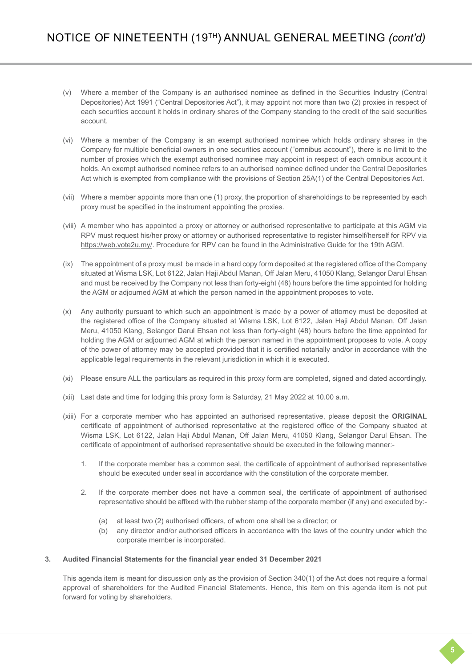- (v) Where a member of the Company is an authorised nominee as defined in the Securities Industry (Central Depositories) Act 1991 ("Central Depositories Act"), it may appoint not more than two (2) proxies in respect of each securities account it holds in ordinary shares of the Company standing to the credit of the said securities account.
- (vi) Where a member of the Company is an exempt authorised nominee which holds ordinary shares in the Company for multiple beneficial owners in one securities account ("omnibus account"), there is no limit to the number of proxies which the exempt authorised nominee may appoint in respect of each omnibus account it holds. An exempt authorised nominee refers to an authorised nominee defined under the Central Depositories Act which is exempted from compliance with the provisions of Section 25A(1) of the Central Depositories Act.
- (vii) Where a member appoints more than one (1) proxy, the proportion of shareholdings to be represented by each proxy must be specified in the instrument appointing the proxies.
- (viii) A member who has appointed a proxy or attorney or authorised representative to participate at this AGM via RPV must request his/her proxy or attorney or authorised representative to register himself/herself for RPV via https://web.vote2u.my/. Procedure for RPV can be found in the Administrative Guide for the 19th AGM.
- (ix) The appointment of a proxy must be made in a hard copy form deposited at the registered office of the Company situated at Wisma LSK, Lot 6122, Jalan Haji Abdul Manan, Off Jalan Meru, 41050 Klang, Selangor Darul Ehsan and must be received by the Company not less than forty-eight (48) hours before the time appointed for holding the AGM or adjourned AGM at which the person named in the appointment proposes to vote.
- (x) Any authority pursuant to which such an appointment is made by a power of attorney must be deposited at the registered office of the Company situated at Wisma LSK, Lot 6122, Jalan Haji Abdul Manan, Off Jalan Meru, 41050 Klang, Selangor Darul Ehsan not less than forty-eight (48) hours before the time appointed for holding the AGM or adjourned AGM at which the person named in the appointment proposes to vote. A copy of the power of attorney may be accepted provided that it is certified notarially and/or in accordance with the applicable legal requirements in the relevant jurisdiction in which it is executed.
- (xi) Please ensure ALL the particulars as required in this proxy form are completed, signed and dated accordingly.
- (xii) Last date and time for lodging this proxy form is Saturday, 21 May 2022 at 10.00 a.m.
- (xiii) For a corporate member who has appointed an authorised representative, please deposit the **ORIGINAL** certificate of appointment of authorised representative at the registered office of the Company situated at Wisma LSK, Lot 6122, Jalan Haji Abdul Manan, Off Jalan Meru, 41050 Klang, Selangor Darul Ehsan. The certificate of appointment of authorised representative should be executed in the following manner:-
	- 1. If the corporate member has a common seal, the certificate of appointment of authorised representative should be executed under seal in accordance with the constitution of the corporate member.
	- 2. If the corporate member does not have a common seal, the certificate of appointment of authorised representative should be affixed with the rubber stamp of the corporate member (if any) and executed by:-
		- (a) at least two (2) authorised officers, of whom one shall be a director; or
		- (b) any director and/or authorised officers in accordance with the laws of the country under which the corporate member is incorporated.

## **3. Audited Financial Statements for the financial year ended 31 December 2021**

This agenda item is meant for discussion only as the provision of Section 340(1) of the Act does not require a formal approval of shareholders for the Audited Financial Statements. Hence, this item on this agenda item is not put forward for voting by shareholders.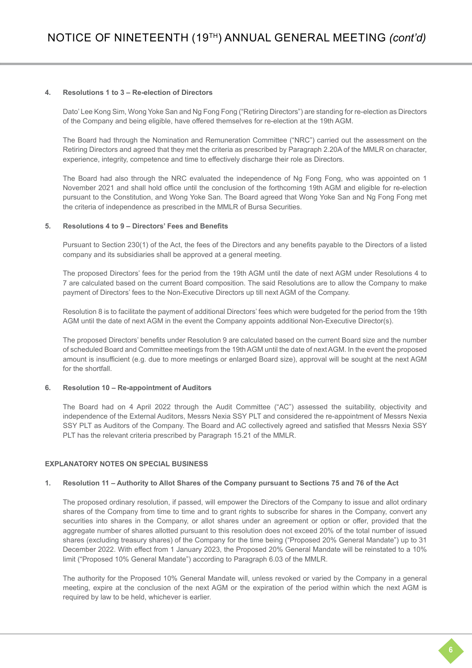## **4. Resolutions 1 to 3 – Re-election of Directors**

Dato' Lee Kong Sim, Wong Yoke San and Ng Fong Fong ("Retiring Directors") are standing for re-election as Directors of the Company and being eligible, have offered themselves for re-election at the 19th AGM.

The Board had through the Nomination and Remuneration Committee ("NRC") carried out the assessment on the Retiring Directors and agreed that they met the criteria as prescribed by Paragraph 2.20A of the MMLR on character, experience, integrity, competence and time to effectively discharge their role as Directors.

The Board had also through the NRC evaluated the independence of Ng Fong Fong, who was appointed on 1 November 2021 and shall hold office until the conclusion of the forthcoming 19th AGM and eligible for re-election pursuant to the Constitution, and Wong Yoke San. The Board agreed that Wong Yoke San and Ng Fong Fong met the criteria of independence as prescribed in the MMLR of Bursa Securities.

## **5. Resolutions 4 to 9 – Directors' Fees and Benefits**

Pursuant to Section 230(1) of the Act, the fees of the Directors and any benefits payable to the Directors of a listed company and its subsidiaries shall be approved at a general meeting.

The proposed Directors' fees for the period from the 19th AGM until the date of next AGM under Resolutions 4 to 7 are calculated based on the current Board composition. The said Resolutions are to allow the Company to make payment of Directors' fees to the Non-Executive Directors up till next AGM of the Company.

Resolution 8 is to facilitate the payment of additional Directors' fees which were budgeted for the period from the 19th AGM until the date of next AGM in the event the Company appoints additional Non-Executive Director(s).

The proposed Directors' benefits under Resolution 9 are calculated based on the current Board size and the number of scheduled Board and Committee meetings from the 19th AGM until the date of next AGM. In the event the proposed amount is insufficient (e.g. due to more meetings or enlarged Board size), approval will be sought at the next AGM for the shortfall.

## **6. Resolution 10 – Re-appointment of Auditors**

The Board had on 4 April 2022 through the Audit Committee ("AC") assessed the suitability, objectivity and independence of the External Auditors, Messrs Nexia SSY PLT and considered the re-appointment of Messrs Nexia SSY PLT as Auditors of the Company. The Board and AC collectively agreed and satisfied that Messrs Nexia SSY PLT has the relevant criteria prescribed by Paragraph 15.21 of the MMLR.

## **EXPLANATORY NOTES ON SPECIAL BUSINESS**

#### **1. Resolution 11 – Authority to Allot Shares of the Company pursuant to Sections 75 and 76 of the Act**

The proposed ordinary resolution, if passed, will empower the Directors of the Company to issue and allot ordinary shares of the Company from time to time and to grant rights to subscribe for shares in the Company, convert any securities into shares in the Company, or allot shares under an agreement or option or offer, provided that the aggregate number of shares allotted pursuant to this resolution does not exceed 20% of the total number of issued shares (excluding treasury shares) of the Company for the time being ("Proposed 20% General Mandate") up to 31 December 2022. With effect from 1 January 2023, the Proposed 20% General Mandate will be reinstated to a 10% limit ("Proposed 10% General Mandate") according to Paragraph 6.03 of the MMLR.

The authority for the Proposed 10% General Mandate will, unless revoked or varied by the Company in a general meeting, expire at the conclusion of the next AGM or the expiration of the period within which the next AGM is required by law to be held, whichever is earlier.